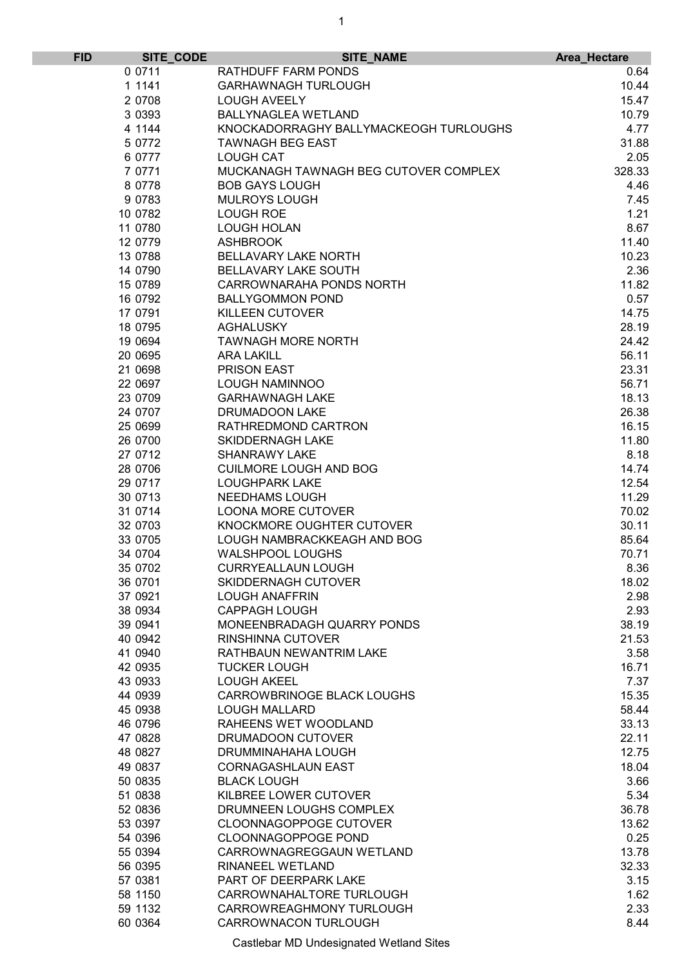| <b>FID</b> | SITE_CODE | SITE_NAME                              | Area_Hectare |
|------------|-----------|----------------------------------------|--------------|
|            | 0 0 7 1 1 | RATHDUFF FARM PONDS                    | 0.64         |
|            | 1 1 1 4 1 | <b>GARHAWNAGH TURLOUGH</b>             | 10.44        |
|            | 2 0708    | <b>LOUGH AVEELY</b>                    | 15.47        |
|            | 3 0 3 9 3 | <b>BALLYNAGLEA WETLAND</b>             | 10.79        |
|            | 4 1144    | KNOCKADORRAGHY BALLYMACKEOGH TURLOUGHS | 4.77         |
|            | 5 0772    | <b>TAWNAGH BEG EAST</b>                | 31.88        |
|            | 6 0777    | <b>LOUGH CAT</b>                       | 2.05         |
|            | 7 0 7 7 1 | MUCKANAGH TAWNAGH BEG CUTOVER COMPLEX  | 328.33       |
|            | 8 0 7 7 8 | <b>BOB GAYS LOUGH</b>                  | 4.46         |
|            | 9 0 7 8 3 | <b>MULROYS LOUGH</b>                   | 7.45         |
|            | 10 0782   | <b>LOUGH ROE</b>                       | 1.21         |
|            | 11 0780   | <b>LOUGH HOLAN</b>                     | 8.67         |
|            | 12 0779   | <b>ASHBROOK</b>                        | 11.40        |
|            | 13 0788   | BELLAVARY LAKE NORTH                   | 10.23        |
|            | 14 0790   | BELLAVARY LAKE SOUTH                   | 2.36         |
|            | 15 0789   | CARROWNARAHA PONDS NORTH               | 11.82        |
|            | 16 0792   | <b>BALLYGOMMON POND</b>                | 0.57         |
|            | 17 0791   | <b>KILLEEN CUTOVER</b>                 | 14.75        |
|            | 18 0795   | <b>AGHALUSKY</b>                       | 28.19        |
|            | 19 0694   | <b>TAWNAGH MORE NORTH</b>              | 24.42        |
|            | 20 0695   | <b>ARA LAKILL</b>                      | 56.11        |
|            | 21 0698   | <b>PRISON EAST</b>                     | 23.31        |
|            | 22 0697   | <b>LOUGH NAMINNOO</b>                  | 56.71        |
|            | 23 0709   | <b>GARHAWNAGH LAKE</b>                 | 18.13        |
|            | 24 0707   | <b>DRUMADOON LAKE</b>                  | 26.38        |
|            | 25 0699   | RATHREDMOND CARTRON                    | 16.15        |
|            | 26 0700   | <b>SKIDDERNAGH LAKE</b>                | 11.80        |
|            | 27 0712   | <b>SHANRAWY LAKE</b>                   | 8.18         |
|            |           | <b>CUILMORE LOUGH AND BOG</b>          | 14.74        |
|            | 28 0706   |                                        | 12.54        |
|            | 29 0717   | <b>LOUGHPARK LAKE</b>                  |              |
|            | 30 0713   | NEEDHAMS LOUGH                         | 11.29        |
|            | 31 0714   | <b>LOONA MORE CUTOVER</b>              | 70.02        |
|            | 32 0703   | KNOCKMORE OUGHTER CUTOVER              | 30.11        |
|            | 33 0705   | LOUGH NAMBRACKKEAGH AND BOG            | 85.64        |
|            | 34 0704   | <b>WALSHPOOL LOUGHS</b>                | 70.71        |
|            | 35 0702   | <b>CURRYEALLAUN LOUGH</b>              | 8.36         |
|            | 36 0701   | <b>SKIDDERNAGH CUTOVER</b>             | 18.02        |
|            | 37 0921   | <b>LOUGH ANAFFRIN</b>                  | 2.98         |
|            | 38 0934   | <b>CAPPAGH LOUGH</b>                   | 2.93         |
|            | 39 0941   | MONEENBRADAGH QUARRY PONDS             | 38.19        |
|            | 40 0942   | <b>RINSHINNA CUTOVER</b>               | 21.53        |
|            | 41 0940   | RATHBAUN NEWANTRIM LAKE                | 3.58         |
|            | 42 0935   | <b>TUCKER LOUGH</b>                    | 16.71        |
|            | 43 0933   | <b>LOUGH AKEEL</b>                     | 7.37         |
|            | 44 0939   | <b>CARROWBRINOGE BLACK LOUGHS</b>      | 15.35        |
|            | 45 0938   | <b>LOUGH MALLARD</b>                   | 58.44        |
|            | 46 0796   | RAHEENS WET WOODLAND                   | 33.13        |
|            | 47 0828   | DRUMADOON CUTOVER                      | 22.11        |
|            | 48 0827   | DRUMMINAHAHA LOUGH                     | 12.75        |
|            | 49 0837   | <b>CORNAGASHLAUN EAST</b>              | 18.04        |
|            | 50 0835   | <b>BLACK LOUGH</b>                     | 3.66         |
|            | 51 0838   | KILBREE LOWER CUTOVER                  | 5.34         |
|            | 52 0836   | DRUMNEEN LOUGHS COMPLEX                | 36.78        |
|            | 53 0397   | CLOONNAGOPPOGE CUTOVER                 | 13.62        |
|            | 54 0396   | CLOONNAGOPPOGE POND                    | 0.25         |
|            | 55 0394   | CARROWNAGREGGAUN WETLAND               | 13.78        |
|            | 56 0395   | RINANEEL WETLAND                       | 32.33        |
|            | 57 0381   | PART OF DEERPARK LAKE                  | 3.15         |
|            | 58 1150   | CARROWNAHALTORE TURLOUGH               | 1.62         |
|            | 59 1132   | CARROWREAGHMONY TURLOUGH               | 2.33         |
|            | 60 0364   | CARROWNACON TURLOUGH                   | 8.44         |

Castlebar MD Undesignated Wetland Sites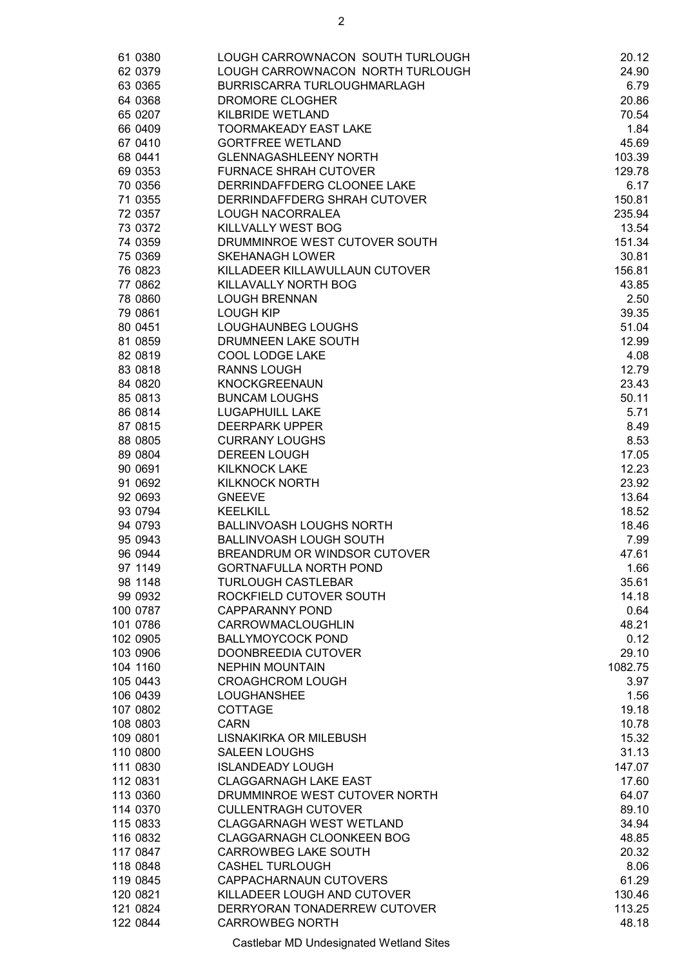| 61 0380              | LOUGH CARROWNACON SOUTH TURLOUGH                     | 20.12            |
|----------------------|------------------------------------------------------|------------------|
| 62 0379              | LOUGH CARROWNACON NORTH TURLOUGH                     | 24.90            |
| 63 0365              | BURRISCARRA TURLOUGHMARLAGH                          | 6.79             |
| 64 0368              | DROMORE CLOGHER                                      | 20.86            |
| 65 0207              | KILBRIDE WETLAND                                     | 70.54            |
| 66 0409              | <b>TOORMAKEADY EAST LAKE</b>                         | 1.84             |
| 67 0410              | <b>GORTFREE WETLAND</b>                              | 45.69            |
| 68 0441              | <b>GLENNAGASHLEENY NORTH</b>                         | 103.39           |
| 69 0353              | <b>FURNACE SHRAH CUTOVER</b>                         | 129.78           |
| 70 0356              | DERRINDAFFDERG CLOONEE LAKE                          | 6.17             |
| 71 0355              | DERRINDAFFDERG SHRAH CUTOVER                         | 150.81           |
| 72 0357<br>73 0372   | LOUGH NACORRALEA<br>KILLVALLY WEST BOG               | 235.94<br>13.54  |
| 74 0359              | DRUMMINROE WEST CUTOVER SOUTH                        | 151.34           |
| 75 0369              | <b>SKEHANAGH LOWER</b>                               | 30.81            |
| 76 0823              | KILLADEER KILLAWULLAUN CUTOVER                       | 156.81           |
| 77 0862              | KILLAVALLY NORTH BOG                                 | 43.85            |
| 78 0860              | <b>LOUGH BRENNAN</b>                                 | 2.50             |
| 79 0861              | <b>LOUGH KIP</b>                                     | 39.35            |
| 80 0451              | LOUGHAUNBEG LOUGHS                                   | 51.04            |
| 81 0859              | DRUMNEEN LAKE SOUTH                                  | 12.99            |
| 82 0819              | COOL LODGE LAKE                                      | 4.08             |
| 83 0818              | <b>RANNS LOUGH</b>                                   | 12.79            |
| 84 0820              | <b>KNOCKGREENAUN</b>                                 | 23.43            |
| 85 0813              | <b>BUNCAM LOUGHS</b>                                 | 50.11            |
| 86 0814              | <b>LUGAPHUILL LAKE</b>                               | 5.71             |
| 87 0815              | <b>DEERPARK UPPER</b>                                | 8.49             |
| 88 0805              | <b>CURRANY LOUGHS</b>                                | 8.53             |
| 89 0804              | <b>DEREEN LOUGH</b>                                  | 17.05            |
| 90 0691              | <b>KILKNOCK LAKE</b>                                 | 12.23            |
| 91 0692              | <b>KILKNOCK NORTH</b>                                | 23.92            |
| 92 0693              | <b>GNEEVE</b>                                        | 13.64            |
| 93 0794              | <b>KEELKILL</b>                                      | 18.52            |
| 94 0793              | <b>BALLINVOASH LOUGHS NORTH</b>                      | 18.46            |
| 95 0943              | <b>BALLINVOASH LOUGH SOUTH</b>                       | 7.99             |
| 96 0944              | BREANDRUM OR WINDSOR CUTOVER                         | 47.61            |
| 97 1149              | GORTNAFULLA NORTH POND                               | 1.66             |
| 98 1148              | <b>TURLOUGH CASTLEBAR</b>                            | 35.61            |
| 99 0932              | ROCKFIELD CUTOVER SOUTH                              | 14.18            |
| 100 0787             | <b>CAPPARANNY POND</b>                               | 0.64             |
| 101 0786             | CARROWMACLOUGHLIN                                    | 48.21            |
| 102 0905             | <b>BALLYMOYCOCK POND</b>                             | 0.12             |
| 103 0906<br>104 1160 | <b>DOONBREEDIA CUTOVER</b><br><b>NEPHIN MOUNTAIN</b> | 29.10<br>1082.75 |
| 105 0443             | <b>CROAGHCROM LOUGH</b>                              | 3.97             |
| 106 0439             | <b>LOUGHANSHEE</b>                                   | 1.56             |
| 107 0802             | <b>COTTAGE</b>                                       | 19.18            |
| 108 0803             | <b>CARN</b>                                          | 10.78            |
| 109 0801             | LISNAKIRKA OR MILEBUSH                               | 15.32            |
| 110 0800             | <b>SALEEN LOUGHS</b>                                 | 31.13            |
| 111 0830             | <b>ISLANDEADY LOUGH</b>                              | 147.07           |
| 112 0831             | <b>CLAGGARNAGH LAKE EAST</b>                         | 17.60            |
| 113 0360             | DRUMMINROE WEST CUTOVER NORTH                        | 64.07            |
| 114 0370             | <b>CULLENTRAGH CUTOVER</b>                           | 89.10            |
| 115 0833             | <b>CLAGGARNAGH WEST WETLAND</b>                      | 34.94            |
| 116 0832             | <b>CLAGGARNAGH CLOONKEEN BOG</b>                     | 48.85            |
| 117 0847             | <b>CARROWBEG LAKE SOUTH</b>                          | 20.32            |
| 118 0848             | <b>CASHEL TURLOUGH</b>                               | 8.06             |
| 119 0845             | CAPPACHARNAUN CUTOVERS                               | 61.29            |
| 120 0821             | KILLADEER LOUGH AND CUTOVER                          | 130.46           |
| 121 0824             | DERRYORAN TONADERREW CUTOVER                         | 113.25           |
| 122 0844             | <b>CARROWBEG NORTH</b>                               | 48.18            |

Castlebar MD Undesignated Wetland Sites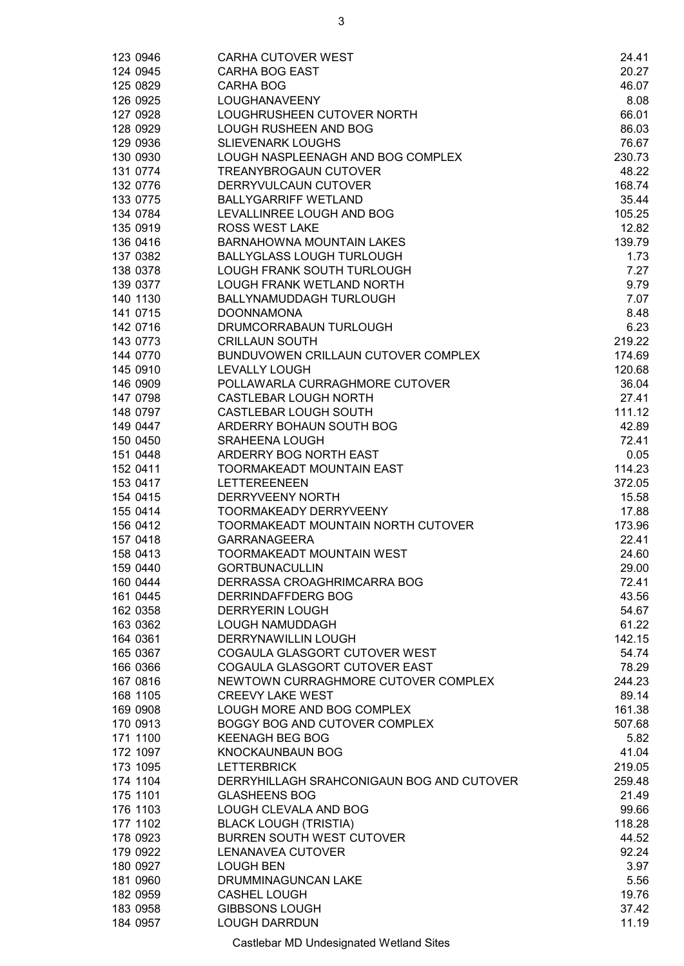| 123 0946             | <b>CARHA CUTOVER WEST</b>                                    | 24.41            |
|----------------------|--------------------------------------------------------------|------------------|
| 124 0945             | <b>CARHA BOG EAST</b>                                        | 20.27            |
| 125 0829             | <b>CARHA BOG</b>                                             | 46.07            |
| 126 0925             | LOUGHANAVEENY                                                | 8.08             |
| 127 0928             | LOUGHRUSHEEN CUTOVER NORTH                                   | 66.01            |
| 128 0929             | LOUGH RUSHEEN AND BOG                                        | 86.03            |
| 129 0936             | <b>SLIEVENARK LOUGHS</b>                                     | 76.67            |
| 130 0930             | LOUGH NASPLEENAGH AND BOG COMPLEX                            | 230.73           |
| 131 0774             | TREANYBROGAUN CUTOVER                                        | 48.22            |
| 132 0776             | DERRYVULCAUN CUTOVER                                         | 168.74           |
| 133 0775             | <b>BALLYGARRIFF WETLAND</b>                                  | 35.44            |
| 134 0784             | LEVALLINREE LOUGH AND BOG                                    | 105.25           |
| 135 0919             | <b>ROSS WEST LAKE</b>                                        | 12.82            |
| 136 0416             | <b>BARNAHOWNA MOUNTAIN LAKES</b>                             | 139.79           |
| 137 0382             | <b>BALLYGLASS LOUGH TURLOUGH</b>                             | 1.73             |
| 138 0378             | LOUGH FRANK SOUTH TURLOUGH                                   | 7.27             |
| 139 0377             | LOUGH FRANK WETLAND NORTH                                    | 9.79             |
| 140 1130             | <b>BALLYNAMUDDAGH TURLOUGH</b>                               | 7.07             |
| 141 0715             | <b>DOONNAMONA</b>                                            | 8.48             |
| 142 0716             | DRUMCORRABAUN TURLOUGH                                       | 6.23             |
| 143 0773             | <b>CRILLAUN SOUTH</b><br>BUNDUVOWEN CRILLAUN CUTOVER COMPLEX | 219.22           |
| 144 0770<br>145 0910 | <b>LEVALLY LOUGH</b>                                         | 174.69<br>120.68 |
| 146 0909             | POLLAWARLA CURRAGHMORE CUTOVER                               | 36.04            |
| 147 0798             | <b>CASTLEBAR LOUGH NORTH</b>                                 | 27.41            |
| 148 0797             | <b>CASTLEBAR LOUGH SOUTH</b>                                 | 111.12           |
| 149 0447             | ARDERRY BOHAUN SOUTH BOG                                     | 42.89            |
| 150 0450             | <b>SRAHEENA LOUGH</b>                                        | 72.41            |
| 151 0448             | ARDERRY BOG NORTH EAST                                       | 0.05             |
| 152 0411             | TOORMAKEADT MOUNTAIN EAST                                    | 114.23           |
| 153 0417             | <b>LETTEREENEEN</b>                                          | 372.05           |
| 154 0415             | <b>DERRYVEENY NORTH</b>                                      | 15.58            |
| 155 0414             | TOORMAKEADY DERRYVEENY                                       | 17.88            |
| 156 0412             | TOORMAKEADT MOUNTAIN NORTH CUTOVER                           | 173.96           |
| 157 0418             | <b>GARRANAGEERA</b>                                          | 22.41            |
| 158 0413             | TOORMAKEADT MOUNTAIN WEST                                    | 24.60            |
| 159 0440             | <b>GORTBUNACULLIN</b>                                        | 29.00            |
| 160 0444             | DERRASSA CROAGHRIMCARRA BOG                                  | 72.41            |
| 161 0445             | <b>DERRINDAFFDERG BOG</b>                                    | 43.56            |
| 162 0358             | <b>DERRYERIN LOUGH</b>                                       | 54.67            |
| 163 0362             | <b>LOUGH NAMUDDAGH</b>                                       | 61.22            |
| 164 0361             | DERRYNAWILLIN LOUGH                                          | 142.15           |
| 165 0367             | COGAULA GLASGORT CUTOVER WEST                                | 54.74            |
| 166 0366             | COGAULA GLASGORT CUTOVER EAST                                | 78.29            |
| 167 0816             | NEWTOWN CURRAGHMORE CUTOVER COMPLEX                          | 244.23           |
| 168 1105             | <b>CREEVY LAKE WEST</b>                                      | 89.14            |
| 169 0908             | LOUGH MORE AND BOG COMPLEX                                   | 161.38           |
| 170 0913             | BOGGY BOG AND CUTOVER COMPLEX                                | 507.68           |
| 171 1100             | <b>KEENAGH BEG BOG</b>                                       | 5.82             |
| 172 1097<br>173 1095 | <b>KNOCKAUNBAUN BOG</b><br><b>LETTERBRICK</b>                | 41.04<br>219.05  |
| 174 1104             | DERRYHILLAGH SRAHCONIGAUN BOG AND CUTOVER                    | 259.48           |
| 175 1101             | <b>GLASHEENS BOG</b>                                         | 21.49            |
| 176 1103             | LOUGH CLEVALA AND BOG                                        | 99.66            |
| 177 1102             | <b>BLACK LOUGH (TRISTIA)</b>                                 | 118.28           |
| 178 0923             | <b>BURREN SOUTH WEST CUTOVER</b>                             | 44.52            |
| 179 0922             | LENANAVEA CUTOVER                                            | 92.24            |
| 180 0927             | <b>LOUGH BEN</b>                                             | 3.97             |
| 181 0960             | DRUMMINAGUNCAN LAKE                                          | 5.56             |
| 182 0959             | <b>CASHEL LOUGH</b>                                          | 19.76            |
| 183 0958             | <b>GIBBSONS LOUGH</b>                                        | 37.42            |
| 184 0957             | <b>LOUGH DARRDUN</b>                                         | 11.19            |

Castlebar MD Undesignated Wetland Sites